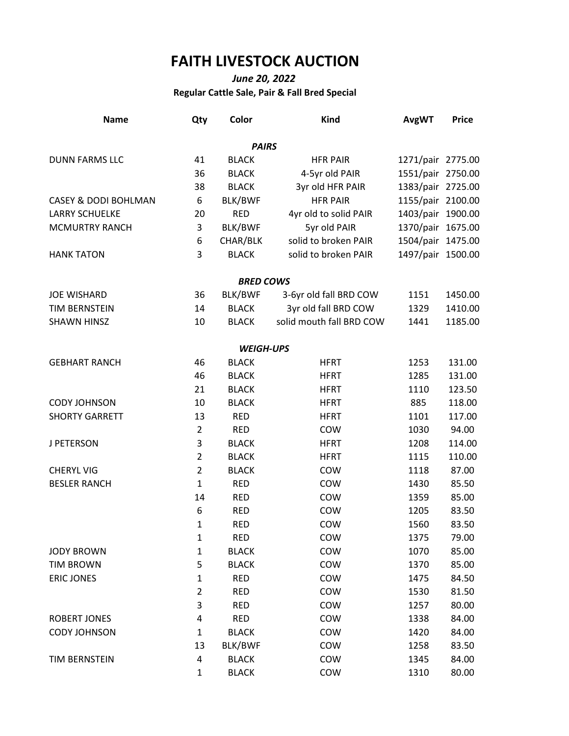## **FAITH LIVESTOCK AUCTION**

## *June 20, 2022* **Regular Cattle Sale, Pair & Fall Bred Special**

| <b>Name</b>                     | Qty            | Color            | <b>Kind</b>              | <b>AvgWT</b>      | <b>Price</b> |
|---------------------------------|----------------|------------------|--------------------------|-------------------|--------------|
|                                 |                | <b>PAIRS</b>     |                          |                   |              |
| <b>DUNN FARMS LLC</b>           | 41             | <b>BLACK</b>     | <b>HFR PAIR</b>          | 1271/pair 2775.00 |              |
|                                 | 36             | <b>BLACK</b>     | 4-5yr old PAIR           | 1551/pair 2750.00 |              |
|                                 | 38             | <b>BLACK</b>     | 3yr old HFR PAIR         | 1383/pair 2725.00 |              |
| <b>CASEY &amp; DODI BOHLMAN</b> | 6              | <b>BLK/BWF</b>   | <b>HFR PAIR</b>          | 1155/pair 2100.00 |              |
| <b>LARRY SCHUELKE</b>           | 20             | <b>RED</b>       | 4yr old to solid PAIR    | $1403$ /pair      | 1900.00      |
| <b>MCMURTRY RANCH</b>           | 3              | BLK/BWF          | 5yr old PAIR             | 1370/pair 1675.00 |              |
|                                 | 6              | CHAR/BLK         | solid to broken PAIR     | 1504/pair 1475.00 |              |
| <b>HANK TATON</b>               | 3              | <b>BLACK</b>     | solid to broken PAIR     | 1497/pair 1500.00 |              |
|                                 |                | <b>BRED COWS</b> |                          |                   |              |
| <b>JOE WISHARD</b>              | 36             | BLK/BWF          | 3-6yr old fall BRD COW   | 1151              | 1450.00      |
| <b>TIM BERNSTEIN</b>            | 14             | <b>BLACK</b>     | 3yr old fall BRD COW     | 1329              | 1410.00      |
| <b>SHAWN HINSZ</b>              | 10             | <b>BLACK</b>     | solid mouth fall BRD COW | 1441              | 1185.00      |
|                                 |                | <b>WEIGH-UPS</b> |                          |                   |              |
| <b>GEBHART RANCH</b>            | 46             | <b>BLACK</b>     | <b>HFRT</b>              | 1253              | 131.00       |
|                                 | 46             | <b>BLACK</b>     | <b>HFRT</b>              | 1285              | 131.00       |
|                                 | 21             | <b>BLACK</b>     | <b>HFRT</b>              | 1110              | 123.50       |
| <b>CODY JOHNSON</b>             | 10             | <b>BLACK</b>     | <b>HFRT</b>              | 885               | 118.00       |
| <b>SHORTY GARRETT</b>           | 13             | <b>RED</b>       | <b>HFRT</b>              | 1101              | 117.00       |
|                                 | $\overline{2}$ | <b>RED</b>       | COW                      | 1030              | 94.00        |
| J PETERSON                      | 3              | <b>BLACK</b>     | <b>HFRT</b>              | 1208              | 114.00       |
|                                 | $\overline{2}$ | <b>BLACK</b>     | <b>HFRT</b>              | 1115              | 110.00       |
| <b>CHERYL VIG</b>               | $\overline{2}$ | <b>BLACK</b>     | COW<br>1118              |                   | 87.00        |
| <b>BESLER RANCH</b>             | $\mathbf{1}$   | <b>RED</b>       | COW                      | 1430              | 85.50        |
|                                 | 14             | <b>RED</b>       | COW                      | 1359              | 85.00        |
|                                 | 6              | <b>RED</b>       | COW                      | 1205              | 83.50        |
|                                 | $\mathbf{1}$   | <b>RED</b>       | COW                      | 1560              | 83.50        |
|                                 | $\mathbf{1}$   | <b>RED</b>       | COW                      | 1375              | 79.00        |
| <b>JODY BROWN</b>               | $\mathbf 1$    | <b>BLACK</b>     | COW                      | 1070              | 85.00        |
| <b>TIM BROWN</b>                | 5              | <b>BLACK</b>     | COW                      | 1370              | 85.00        |
| <b>ERIC JONES</b>               | $\mathbf 1$    | <b>RED</b>       | COW                      | 1475              | 84.50        |
|                                 | $\mathbf 2$    | <b>RED</b>       | COW                      | 1530              | 81.50        |
|                                 | 3              | <b>RED</b>       | COW                      | 1257              | 80.00        |
| <b>ROBERT JONES</b>             | 4              | <b>RED</b>       | COW                      | 1338              | 84.00        |
| <b>CODY JOHNSON</b>             | $\mathbf 1$    | <b>BLACK</b>     | COW                      | 1420              | 84.00        |
|                                 | 13             | BLK/BWF          | COW                      | 1258              | 83.50        |
| TIM BERNSTEIN                   | 4              | <b>BLACK</b>     | COW                      | 1345              | 84.00        |
|                                 | $\mathbf{1}$   | <b>BLACK</b>     | COW                      | 1310              | 80.00        |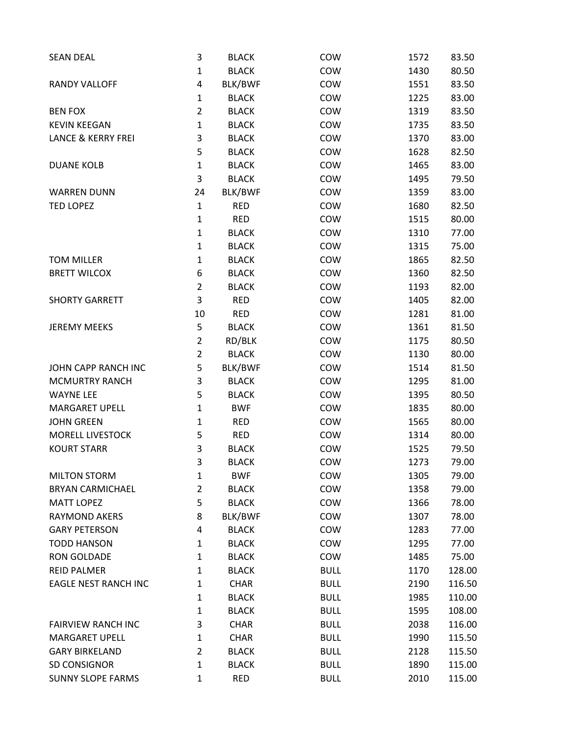| <b>SEAN DEAL</b>              | 3              | <b>BLACK</b> | COW         | 1572 | 83.50  |
|-------------------------------|----------------|--------------|-------------|------|--------|
|                               | 1              | <b>BLACK</b> | COW         | 1430 | 80.50  |
| <b>RANDY VALLOFF</b>          | 4              | BLK/BWF      | COW         | 1551 | 83.50  |
|                               | $\mathbf{1}$   | <b>BLACK</b> | COW         | 1225 | 83.00  |
| <b>BEN FOX</b>                | $\overline{2}$ | <b>BLACK</b> | COW         | 1319 | 83.50  |
| <b>KEVIN KEEGAN</b>           | 1              | <b>BLACK</b> | COW         | 1735 | 83.50  |
| <b>LANCE &amp; KERRY FREI</b> | 3              | <b>BLACK</b> | COW         | 1370 | 83.00  |
|                               | 5              | <b>BLACK</b> | COW         | 1628 | 82.50  |
| <b>DUANE KOLB</b>             | 1              | <b>BLACK</b> | COW         | 1465 | 83.00  |
|                               | 3              | <b>BLACK</b> | COW         | 1495 | 79.50  |
| <b>WARREN DUNN</b>            | 24             | BLK/BWF      | COW         | 1359 | 83.00  |
| <b>TED LOPEZ</b>              | $\mathbf{1}$   | <b>RED</b>   | COW         | 1680 | 82.50  |
|                               | $\mathbf 1$    | <b>RED</b>   | COW         | 1515 | 80.00  |
|                               | 1              | <b>BLACK</b> | COW         | 1310 | 77.00  |
|                               | 1              | <b>BLACK</b> | COW         | 1315 | 75.00  |
| <b>TOM MILLER</b>             | $\mathbf{1}$   | <b>BLACK</b> | COW         | 1865 | 82.50  |
| <b>BRETT WILCOX</b>           | 6              | <b>BLACK</b> | COW         | 1360 | 82.50  |
|                               | $\overline{2}$ | <b>BLACK</b> | COW         | 1193 | 82.00  |
| <b>SHORTY GARRETT</b>         | 3              | <b>RED</b>   | COW         | 1405 | 82.00  |
|                               | 10             | <b>RED</b>   | COW         | 1281 | 81.00  |
| <b>JEREMY MEEKS</b>           | 5              | <b>BLACK</b> | COW         | 1361 | 81.50  |
|                               | $\overline{2}$ | RD/BLK       | COW         | 1175 | 80.50  |
|                               | $\overline{2}$ | <b>BLACK</b> | COW         | 1130 | 80.00  |
| JOHN CAPP RANCH INC           | 5              | BLK/BWF      | COW         | 1514 | 81.50  |
| <b>MCMURTRY RANCH</b>         | 3              | <b>BLACK</b> | COW         | 1295 | 81.00  |
| <b>WAYNE LEE</b>              | 5              | <b>BLACK</b> | COW         | 1395 | 80.50  |
| <b>MARGARET UPELL</b>         | 1              | <b>BWF</b>   | COW         | 1835 | 80.00  |
| <b>JOHN GREEN</b>             | $\mathbf 1$    | <b>RED</b>   | COW         | 1565 | 80.00  |
| <b>MORELL LIVESTOCK</b>       | 5              | <b>RED</b>   | COW         | 1314 | 80.00  |
| <b>KOURT STARR</b>            | 3              | <b>BLACK</b> | COW         | 1525 | 79.50  |
|                               | 3              | <b>BLACK</b> | COW         | 1273 | 79.00  |
| <b>MILTON STORM</b>           | $\mathbf{1}$   | <b>BWF</b>   | COW         | 1305 | 79.00  |
| <b>BRYAN CARMICHAEL</b>       | 2              | <b>BLACK</b> | COW         | 1358 | 79.00  |
| <b>MATT LOPEZ</b>             | 5              | <b>BLACK</b> | COW         | 1366 | 78.00  |
| <b>RAYMOND AKERS</b>          | 8              | BLK/BWF      | COW         | 1307 | 78.00  |
| <b>GARY PETERSON</b>          | 4              | <b>BLACK</b> | COW         | 1283 | 77.00  |
| <b>TODD HANSON</b>            | 1              | <b>BLACK</b> | COW         | 1295 | 77.00  |
| <b>RON GOLDADE</b>            | 1              | <b>BLACK</b> | COW         | 1485 | 75.00  |
| <b>REID PALMER</b>            | 1              | <b>BLACK</b> | <b>BULL</b> | 1170 | 128.00 |
| <b>EAGLE NEST RANCH INC</b>   | 1              | <b>CHAR</b>  | <b>BULL</b> | 2190 | 116.50 |
|                               | $\mathbf{1}$   | <b>BLACK</b> | <b>BULL</b> | 1985 | 110.00 |
|                               | 1              | <b>BLACK</b> | <b>BULL</b> | 1595 | 108.00 |
| <b>FAIRVIEW RANCH INC</b>     | 3              | <b>CHAR</b>  | <b>BULL</b> | 2038 | 116.00 |
| <b>MARGARET UPELL</b>         | 1              | <b>CHAR</b>  | <b>BULL</b> | 1990 | 115.50 |
| <b>GARY BIRKELAND</b>         | $\overline{2}$ | <b>BLACK</b> | <b>BULL</b> | 2128 | 115.50 |
| SD CONSIGNOR                  | 1              | <b>BLACK</b> | <b>BULL</b> | 1890 | 115.00 |
| <b>SUNNY SLOPE FARMS</b>      | 1              | <b>RED</b>   | <b>BULL</b> | 2010 | 115.00 |